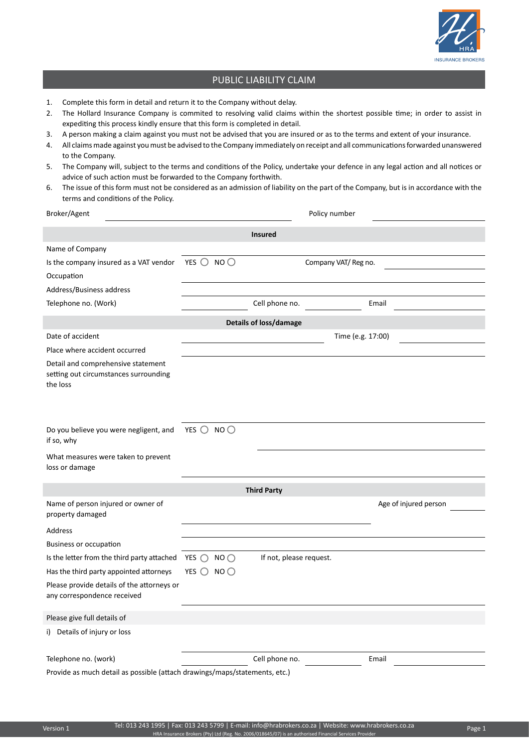

## PUBLIC LIABILITY CLAIM

- 1. Complete this form in detail and return it to the Company without delay.
- 2. The Hollard Insurance Company is commited to resolving valid claims within the shortest possible time; in order to assist in expediting this process kindly ensure that this form is completed in detail.
- 3. A person making a claim against you must not be advised that you are insured or as to the terms and extent of your insurance.
- 4. All claims made against you must be advised to the Company immediately on receipt and all communications forwarded unanswered to the Company.
- 5. The Company will, subject to the terms and conditions of the Policy, undertake your defence in any legal action and all notices or advice of such action must be forwarded to the Company forthwith.
- 6. The issue of this form must not be considered as an admission of liability on the part of the Company, but is in accordance with the terms and conditions of the Policy.

| Broker/Agent                                                                            | Policy number                                            |                         |                       |  |  |
|-----------------------------------------------------------------------------------------|----------------------------------------------------------|-------------------------|-----------------------|--|--|
| <b>Insured</b>                                                                          |                                                          |                         |                       |  |  |
| Name of Company                                                                         |                                                          |                         |                       |  |  |
| Is the company insured as a VAT vendor                                                  | YES $\bigcirc$<br>NO <sub>O</sub><br>Company VAT/Reg no. |                         |                       |  |  |
| Occupation                                                                              |                                                          |                         |                       |  |  |
| Address/Business address                                                                |                                                          |                         |                       |  |  |
| Telephone no. (Work)                                                                    |                                                          | Cell phone no.          | Email                 |  |  |
| <b>Details of loss/damage</b>                                                           |                                                          |                         |                       |  |  |
| Date of accident                                                                        | Time (e.g. 17:00)                                        |                         |                       |  |  |
| Place where accident occurred                                                           |                                                          |                         |                       |  |  |
| Detail and comprehensive statement<br>setting out circumstances surrounding<br>the loss |                                                          |                         |                       |  |  |
| Do you believe you were negligent, and                                                  | YES $\bigcirc$ NO $\bigcirc$                             |                         |                       |  |  |
| if so, why                                                                              |                                                          |                         |                       |  |  |
| What measures were taken to prevent<br>loss or damage                                   |                                                          |                         |                       |  |  |
| <b>Third Party</b>                                                                      |                                                          |                         |                       |  |  |
| Name of person injured or owner of<br>property damaged                                  |                                                          |                         | Age of injured person |  |  |
| Address                                                                                 |                                                          |                         |                       |  |  |
| <b>Business or occupation</b>                                                           |                                                          |                         |                       |  |  |
| Is the letter from the third party attached                                             | YES $\bigcirc$<br>$NO$ $O$                               | If not, please request. |                       |  |  |
| Has the third party appointed attorneys                                                 | YES $\bigcirc$<br>NO <sub>O</sub>                        |                         |                       |  |  |
| Please provide details of the attorneys or<br>any correspondence received               |                                                          |                         |                       |  |  |
| Please give full details of                                                             |                                                          |                         |                       |  |  |
| i) Details of injury or loss                                                            |                                                          |                         |                       |  |  |
| Telephone no. (work)                                                                    |                                                          | Cell phone no.          | Email                 |  |  |
| Provide as much detail as possible (attach drawings/maps/statements, etc.)              |                                                          |                         |                       |  |  |